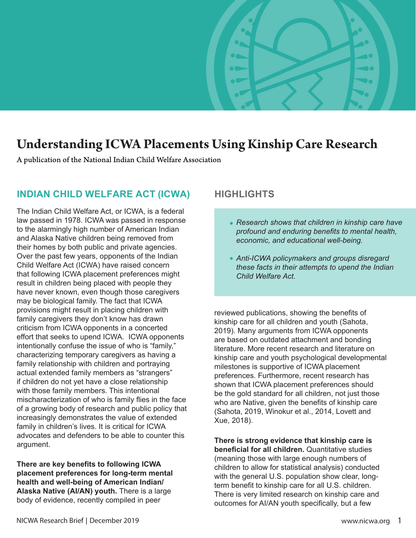

# **Understanding ICWA Placements Using Kinship Care Research**

A publication of the National Indian Child Welfare Association

### **INDIAN CHILD WELFARE ACT (ICWA) HIGHLIGHTS**

The Indian Child Welfare Act, or ICWA, is a federal law passed in 1978. ICWA was passed in response to the alarmingly high number of American Indian and Alaska Native children being removed from their homes by both public and private agencies. Over the past few years, opponents of the Indian Child Welfare Act (ICWA) have raised concern that following ICWA placement preferences might result in children being placed with people they have never known, even though those caregivers may be biological family. The fact that ICWA provisions might result in placing children with family caregivers they don't know has drawn criticism from ICWA opponents in a concerted effort that seeks to upend ICWA. ICWA opponents intentionally confuse the issue of who is "family," characterizing temporary caregivers as having a family relationship with children and portraying actual extended family members as "strangers" if children do not yet have a close relationship with those family members. This intentional mischaracterization of who is family flies in the face of a growing body of research and public policy that increasingly demonstrates the value of extended family in children's lives. It is critical for ICWA advocates and defenders to be able to counter this argument.

**There are key benefits to following ICWA placement preferences for long-term mental health and well-being of American Indian/ Alaska Native (AI/AN) youth.** There is a large body of evidence, recently compiled in peer

- *Research shows that children in kinship care have*  **•** *profound and enduring benefits to mental health, economic, and educational well-being.*
- *Anti-ICWA policymakers and groups disregard*  **•***these facts in their attempts to upend the Indian Child Welfare Act.*

reviewed publications, showing the benefits of kinship care for all children and youth (Sahota, 2019). Many arguments from ICWA opponents are based on outdated attachment and bonding literature. More recent research and literature on kinship care and youth psychological developmental milestones is supportive of ICWA placement preferences. Furthermore, recent research has shown that ICWA placement preferences should be the gold standard for all children, not just those who are Native, given the benefits of kinship care (Sahota, 2019, Winokur et al., 2014, Lovett and Xue, 2018).

**There is strong evidence that kinship care is beneficial for all children.** Quantitative studies (meaning those with large enough numbers of children to allow for statistical analysis) conducted with the general U.S. population show clear, longterm benefit to kinship care for all U.S. children. There is very limited research on kinship care and outcomes for AI/AN youth specifically, but a few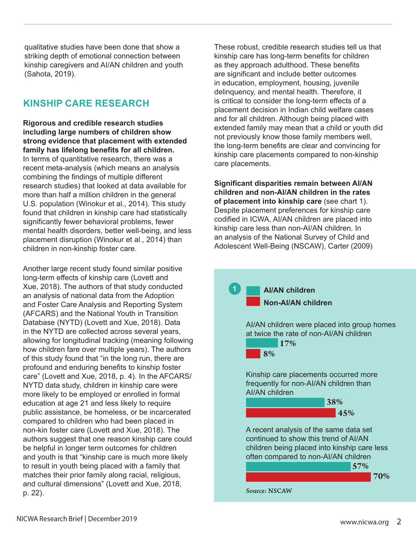qualitative studies have been done that show a striking depth of emotional connection between kinship caregivers and AI/AN children and youth (Sahota, 2019).

### **KINSHIP CARE RESEARCH**

**Rigorous and credible research studies including large numbers of children show strong evidence that placement with extended family has lifelong benefits for all children.** In terms of quantitative research, there was a recent meta-analysis (which means an analysis combining the findings of multiple different research studies) that looked at data available for more than half a million children in the general U.S. population (Winokur et al., 2014). This study found that children in kinship care had statistically significantly fewer behavioral problems, fewer mental health disorders, better well-being, and less placement disruption (Winokur et al., 2014) than children in non-kinship foster care.

Another large recent study found similar positive long-term effects of kinship care (Lovett and Xue, 2018). The authors of that study conducted an analysis of national data from the Adoption and Foster Care Analysis and Reporting System (AFCARS) and the National Youth in Transition Database (NYTD) (Lovett and Xue, 2018). Data in the NYTD are collected across several years, allowing for longitudinal tracking (meaning following how children fare over multiple years). The authors of this study found that "in the long run, there are profound and enduring benefits to kinship foster care" (Lovett and Xue, 2018, p. 4). In the AFCARS/ NYTD data study, children in kinship care were more likely to be employed or enrolled in formal education at age 21 and less likely to require public assistance, be homeless, or be incarcerated compared to children who had been placed in non-kin foster care (Lovett and Xue, 2018). The authors suggest that one reason kinship care could be helpful in longer term outcomes for children and youth is that "kinship care is much more likely to result in youth being placed with a family that matches their prior family along racial, religious, and cultural dimensions" (Lovett and Xue, 2018, p. 22).

These robust, credible research studies tell us that kinship care has long-term benefits for children as they approach adulthood. These benefits are significant and include better outcomes in education, employment, housing, juvenile delinquency, and mental health. Therefore, it is critical to consider the long-term effects of a placement decision in Indian child welfare cases and for all children. Although being placed with extended family may mean that a child or youth did not previously know those family members well, the long-term benefits are clear and convincing for kinship care placements compared to non-kinship care placements.

**Significant disparities remain between AI/AN children and non-AI/AN children in the rates of placement into kinship care** (see chart 1). Despite placement preferences for kinship care codified in ICWA, AI/AN children are placed into kinship care less than non-AI/AN children. In an analysis of the National Survey of Child and Adolescent Well-Being (NSCAW), Carter (2009)

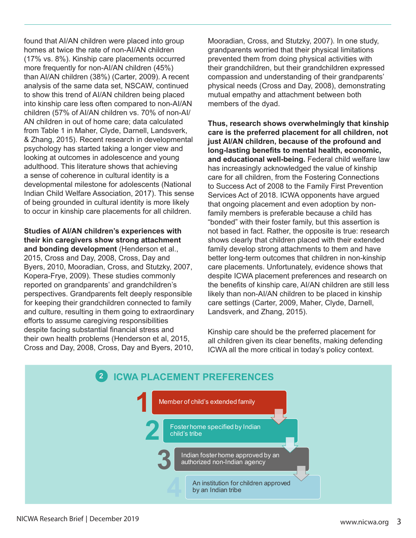found that AI/AN children were placed into group homes at twice the rate of non-AI/AN children (17% vs. 8%). Kinship care placements occurred more frequently for non-AI/AN children (45%) than AI/AN children (38%) (Carter, 2009). A recent analysis of the same data set, NSCAW, continued to show this trend of AI/AN children being placed into kinship care less often compared to non-AI/AN children (57% of AI/AN children vs. 70% of non-AI/ AN children in out of home care; data calculated from Table 1 in Maher, Clyde, Darnell, Landsverk, & Zhang, 2015). Recent research in developmental psychology has started taking a longer view and looking at outcomes in adolescence and young adulthood. This literature shows that achieving a sense of coherence in cultural identity is a developmental milestone for adolescents (National Indian Child Welfare Association, 2017). This sense of being grounded in cultural identity is more likely to occur in kinship care placements for all children.

**Studies of AI/AN children's experiences with their kin caregivers show strong attachment and bonding development** (Henderson et al., 2015, Cross and Day, 2008, Cross, Day and Byers, 2010, Mooradian, Cross, and Stutzky, 2007, Kopera-Frye, 2009). These studies commonly reported on grandparents' and grandchildren's perspectives. Grandparents felt deeply responsible for keeping their grandchildren connected to family and culture, resulting in them going to extraordinary efforts to assume caregiving responsibilities despite facing substantial financial stress and their own health problems (Henderson et al, 2015, Cross and Day, 2008, Cross, Day and Byers, 2010,

Mooradian, Cross, and Stutzky, 2007). In one study, grandparents worried that their physical limitations prevented them from doing physical activities with their grandchildren, but their grandchildren expressed compassion and understanding of their grandparents' physical needs (Cross and Day, 2008), demonstrating mutual empathy and attachment between both members of the dyad.

**Thus, research shows overwhelmingly that kinship care is the preferred placement for all children, not just AI/AN children, because of the profound and long-lasting benefits to mental health, economic, and educational well-being.** Federal child welfare law has increasingly acknowledged the value of kinship care for all children, from the Fostering Connections to Success Act of 2008 to the Family First Prevention Services Act of 2018. ICWA opponents have argued that ongoing placement and even adoption by nonfamily members is preferable because a child has "bonded" with their foster family, but this assertion is not based in fact. Rather, the opposite is true: research shows clearly that children placed with their extended family develop strong attachments to them and have better long-term outcomes that children in non-kinship care placements. Unfortunately, evidence shows that despite ICWA placement preferences and research on the benefits of kinship care, AI/AN children are still less likely than non-AI/AN children to be placed in kinship care settings (Carter, 2009, Maher, Clyde, Darnell, Landsverk, and Zhang, 2015).

Kinship care should be the preferred placement for all children given its clear benefits, making defending ICWA all the more critical in today's policy context.